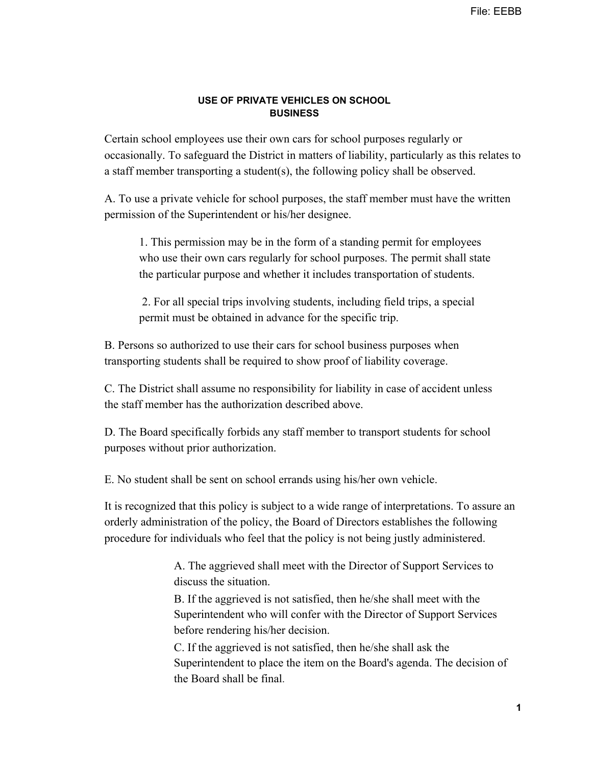## **USE OF PRIVATE VEHICLES ON SCHOOL BUSINESS**

Certain school employees use their own cars for school purposes regularly or occasionally. To safeguard the District in matters of liability, particularly as this relates to a staff member transporting a student(s), the following policy shall be observed.

A. To use a private vehicle for school purposes, the staff member must have the written permission of the Superintendent or his/her designee.

1. This permission may be in the form of a standing permit for employees who use their own cars regularly for school purposes. The permit shall state the particular purpose and whether it includes transportation of students.

 2. For all special trips involving students, including field trips, a special permit must be obtained in advance for the specific trip.

B. Persons so authorized to use their cars for school business purposes when transporting students shall be required to show proof of liability coverage.

C. The District shall assume no responsibility for liability in case of accident unless the staff member has the authorization described above.

D. The Board specifically forbids any staff member to transport students for school purposes without prior authorization.

E. No student shall be sent on school errands using his/her own vehicle.

It is recognized that this policy is subject to a wide range of interpretations. To assure an orderly administration of the policy, the Board of Directors establishes the following procedure for individuals who feel that the policy is not being justly administered.

> A. The aggrieved shall meet with the Director of Support Services to discuss the situation.

B. If the aggrieved is not satisfied, then he/she shall meet with the Superintendent who will confer with the Director of Support Services before rendering his/her decision.

C. If the aggrieved is not satisfied, then he/she shall ask the Superintendent to place the item on the Board's agenda. The decision of the Board shall be final.